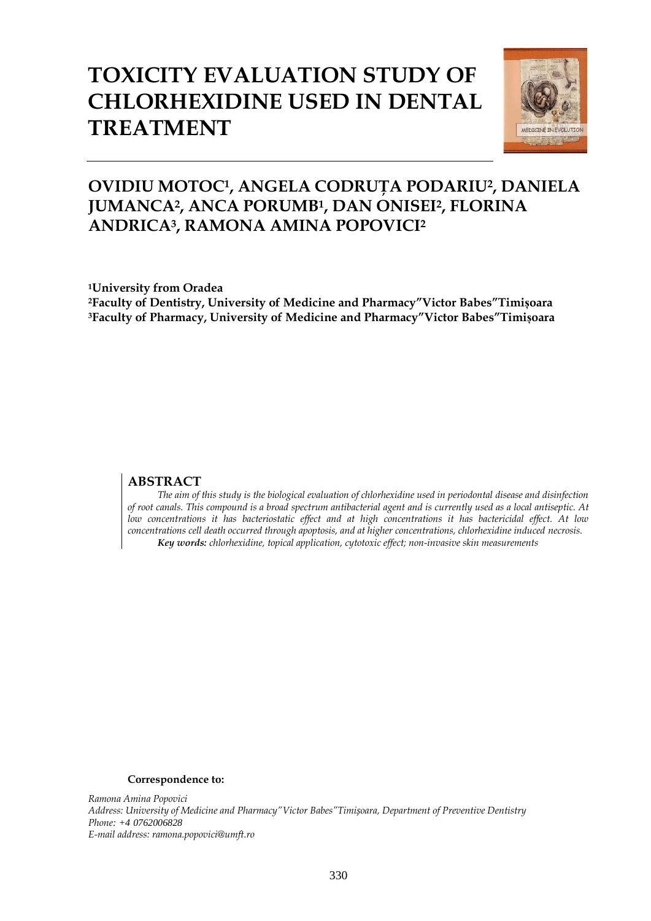# **TOXICITY EVALUATION STUDY OF CHLORHEXIDINE USED IN DENTAL TREATMENT**



## **OVIDIU MOTOC1, ANGELA CODRUŢA PODARIU2, DANIELA JUMANCA2, ANCA PORUMB<sup>1</sup> , DAN ONISEI<sup>2</sup> , FLORINA ANDRICA3, RAMONA AMINA POPOVICI<sup>2</sup>**

**<sup>1</sup>University from Oradea <sup>2</sup>Faculty of Dentistry, University of Medicine and Pharmacy"Victor Babes"Timișoara <sup>3</sup>Faculty of Pharmacy, University of Medicine and Pharmacy"Victor Babes"Timișoara**

### **ABSTRACT**

*The aim of this study is the biological evaluation of chlorhexidine used in periodontal disease and disinfection of root canals. This compound is a broad spectrum antibacterial agent and is currently used as a local antiseptic. At low concentrations it has bacteriostatic effect and at high concentrations it has bactericidal effect. At low concentrations cell death occurred through apoptosis, and at higher concentrations, chlorhexidine induced necrosis. Key words: chlorhexidine, topical application, cytotoxic effect; non-invasive skin measurements*

#### **Correspondence to:**

*Ramona Amina Popovici Address: University of Medicine and Pharmacy"Victor Babes"Timișoara, Department of Preventive Dentistry Phone: +4 0762006828 E-mail address: ramona.popovici@umft.ro*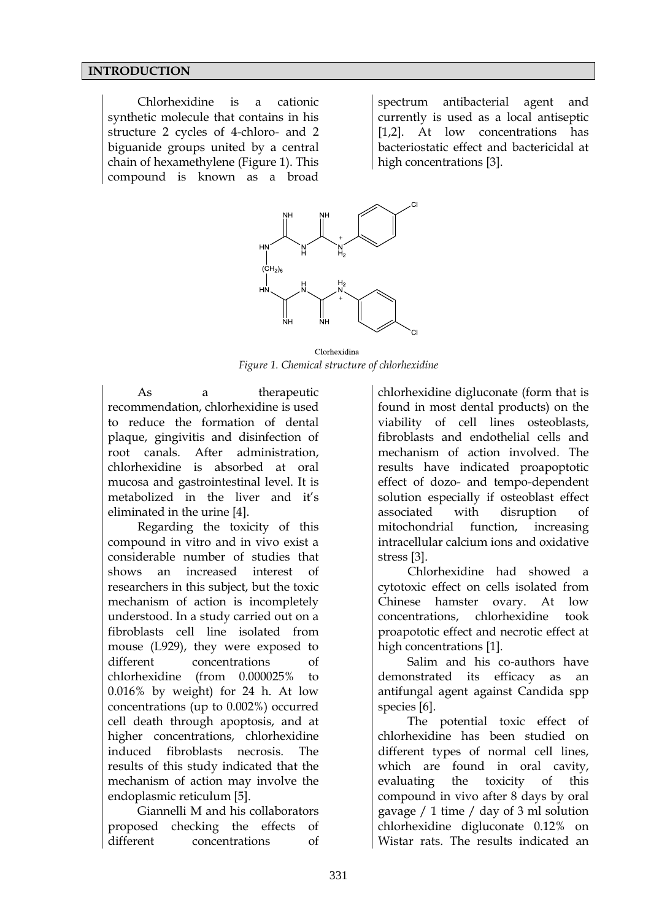#### **INTRODUCTION**

Chlorhexidine is a cationic synthetic molecule that contains in his structure 2 cycles of 4-chloro- and 2 biguanide groups united by a central chain of hexamethylene (Figure 1). This compound is known as a broad

spectrum antibacterial agent and currently is used as a local antiseptic [1,2]. At low concentrations has bacteriostatic effect and bactericidal at high concentrations [3].



Clorhexidina *Figure 1. Chemical structure of chlorhexidine*

As a therapeutic recommendation, chlorhexidine is used to reduce the formation of dental plaque, gingivitis and disinfection of root canals. After administration, chlorhexidine is absorbed at oral mucosa and gastrointestinal level. It is metabolized in the liver and it's eliminated in the urine [4].

Regarding the toxicity of this compound in vitro and in vivo exist a considerable number of studies that shows an increased interest of researchers in this subject, but the toxic mechanism of action is incompletely understood. In a study carried out on a fibroblasts cell line isolated from mouse (L929), they were exposed to different concentrations of chlorhexidine (from 0.000025% to 0.016% by weight) for 24 h. At low concentrations (up to 0.002%) occurred cell death through apoptosis, and at higher concentrations, chlorhexidine induced fibroblasts necrosis. The results of this study indicated that the mechanism of action may involve the endoplasmic reticulum [5].

Giannelli M and his collaborators proposed checking the effects of different concentrations of chlorhexidine digluconate (form that is found in most dental products) on the viability of cell lines osteoblasts, fibroblasts and endothelial cells and mechanism of action involved. The results have indicated proapoptotic effect of dozo- and tempo-dependent solution especially if osteoblast effect associated with disruption of mitochondrial function, increasing intracellular calcium ions and oxidative stress [3].

Chlorhexidine had showed a cytotoxic effect on cells isolated from Chinese hamster ovary. At low concentrations, chlorhexidine took proapototic effect and necrotic effect at high concentrations [1].

Salim and his co-authors have demonstrated its efficacy as an antifungal agent against Candida spp species [6].

The potential toxic effect of chlorhexidine has been studied on different types of normal cell lines, which are found in oral cavity, evaluating the toxicity of this compound in vivo after 8 days by oral gavage / 1 time / day of 3 ml solution chlorhexidine digluconate 0.12% on Wistar rats. The results indicated an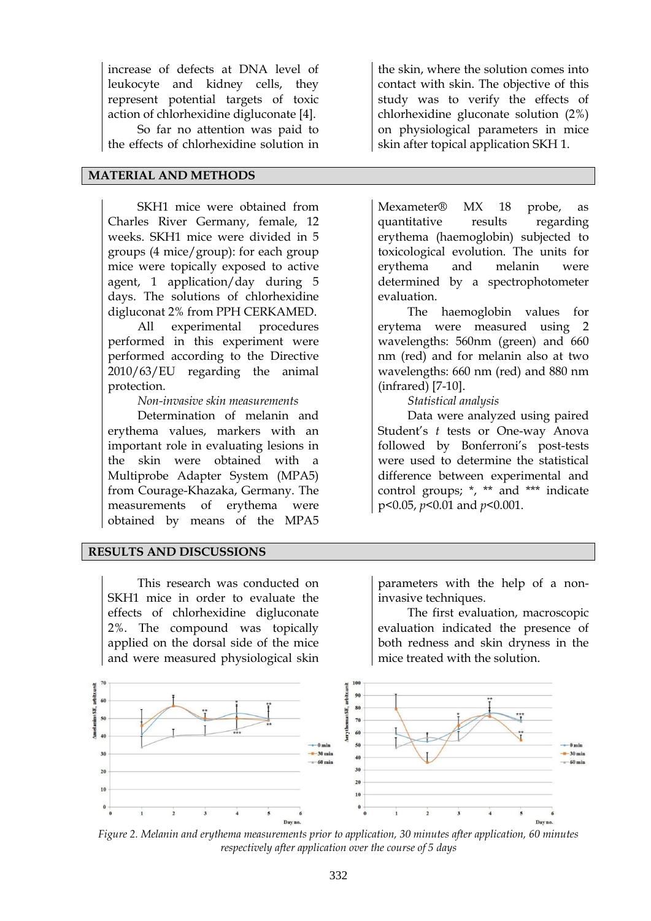increase of defects at DNA level of leukocyte and kidney cells, they represent potential targets of toxic action of chlorhexidine digluconate [4].

So far no attention was paid to the effects of chlorhexidine solution in

#### **MATERIAL AND METHODS**

SKH1 mice were obtained from Charles River Germany, female, 12 weeks. SKH1 mice were divided in 5 groups (4 mice/group): for each group mice were topically exposed to active agent, 1 application/day during 5 days. The solutions of chlorhexidine digluconat 2% from PPH CERKAMED.

All experimental procedures performed in this experiment were performed according to the Directive 2010/63/EU regarding the animal protection.

*Non-invasive skin measurements* 

Determination of melanin and erythema values, markers with an important role in evaluating lesions in the skin were obtained with a Multiprobe Adapter System (MPA5) from Courage-Khazaka, Germany. The measurements of erythema were obtained by means of the MPA5

### **RESULTS AND DISCUSSIONS**

This research was conducted on SKH1 mice in order to evaluate the effects of chlorhexidine digluconate 2%. The compound was topically applied on the dorsal side of the mice and were measured physiological skin

the skin, where the solution comes into contact with skin. The objective of this study was to verify the effects of chlorhexidine gluconate solution (2%) on physiological parameters in mice skin after topical application SKH 1.

Mexameter® MX 18 probe, as quantitative results regarding erythema (haemoglobin) subjected to toxicological evolution. The units for erythema and melanin were determined by a spectrophotometer evaluation.

The haemoglobin values for erytema were measured using 2 wavelengths: 560nm (green) and 660 nm (red) and for melanin also at two wavelengths: 660 nm (red) and 880 nm (infrared) [7-10].

*Statistical analysis*

Data were analyzed using paired Student's *t* tests or One-way Anova followed by Bonferroni's post-tests were used to determine the statistical difference between experimental and control groups; \*, \*\* and \*\*\* indicate p<0.05, *p*<0.01 and *p*<0.001.

parameters with the help of a noninvasive techniques.

The first evaluation, macroscopic evaluation indicated the presence of both redness and skin dryness in the mice treated with the solution.



*Figure 2. Melanin and erythema measurements prior to application, 30 minutes after application, 60 minutes respectively after application over the course of 5 days*